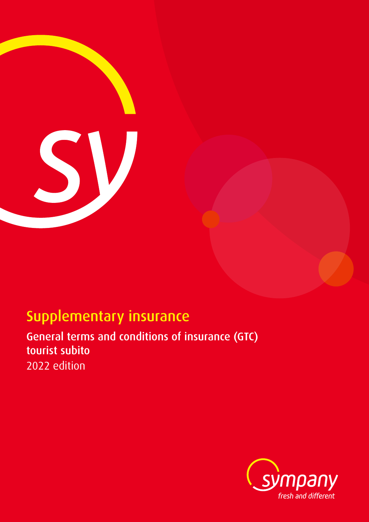

# Supplementary insurance

General terms and conditions of insurance (GTC) tourist subito 2022 edition

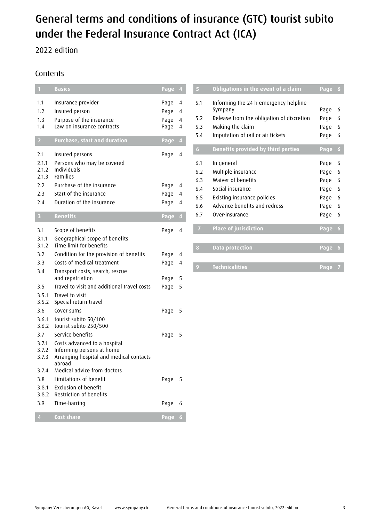# General terms and conditions of insurance (GTC) tourist subito under the Federal Insurance Contract Act (ICA)

# 2022 edition

# Contents

| $\mathbf{1}$                   | <b>Basics</b>                                                                                                             | Page 4                       |                  |
|--------------------------------|---------------------------------------------------------------------------------------------------------------------------|------------------------------|------------------|
| 1.1<br>1.2<br>1.3<br>1.4       | Insurance provider<br>Insured person<br>Purpose of the insurance<br>Law on insurance contracts                            | Page<br>Page<br>Page<br>Page | 4<br>4<br>4<br>4 |
| $\overline{2}$                 | <b>Purchase, start and duration</b>                                                                                       | Page                         | $\overline{4}$   |
| 2.1<br>2.1.1<br>2.1.2<br>2.1.3 | Insured persons<br>Persons who may be covered<br>Individuals<br><b>Families</b>                                           | Page                         | 4                |
| 2.2                            | Purchase of the insurance                                                                                                 | Page                         | 4                |
| 2.3                            | Start of the insurance                                                                                                    | Page                         | 4                |
| 2.4                            | Duration of the insurance                                                                                                 | Page                         | 4                |
| $\overline{\mathbf{3}}$        | <b>Benefits</b>                                                                                                           | Page                         | $\overline{4}$   |
| 3.1<br>3.1.1<br>3.1.2          | Scope of benefits<br>Geographical scope of benefits<br>Time limit for benefits                                            | Page                         | 4                |
| 3.2                            | Condition for the provision of benefits                                                                                   | Page                         | 4                |
| 3.3                            | Costs of medical treatment                                                                                                | Page                         | 4                |
| 3.4                            | Transport costs, search, rescue<br>and repatriation                                                                       | Page                         | 5                |
| 3.5                            | Travel to visit and additional travel costs                                                                               | Page                         | 5                |
| 3.5.1<br>3.5.2                 | Travel to visit<br>Special return travel                                                                                  |                              |                  |
| 3.6<br>3.6.1<br>3.6.2          | Cover sums<br>tourist subito 50/100<br>tourist subito 250/500                                                             | Page                         | 5                |
| 3.7<br>3.7.1<br>3.7.2<br>3.7.3 | Service benefits<br>Costs advanced to a hospital<br>Informing persons at home<br>Arranging hospital and medical contacts  | Page                         | 5                |
| 3.7.4<br>3.8<br>3.8.1<br>3.8.2 | abroad<br>Medical advice from doctors<br>Limitations of benefit<br><b>Exclusion of benefit</b><br>Restriction of benefits | Page                         | 5                |
| 3.9                            | Time-barring                                                                                                              | Page                         | 6                |
| 4                              | <b>Cost share</b>                                                                                                         | Page                         | 6                |

| 5              | Obligations in the event of a claim       | Page | $\ddot{\mathbf{6}}$ |
|----------------|-------------------------------------------|------|---------------------|
| 5.1            | Informing the 24 h emergency helpline     |      |                     |
|                | Sympany                                   | Page | 6                   |
| 5.2            | Release from the obligation of discretion | Page | 6                   |
| 5.3            | Making the claim                          | Page | 6                   |
| 5.4            | Imputation of rail or air tickets         | Page | 6                   |
| 6              | <b>Benefits provided by third parties</b> | Page | 6                   |
| 6.1            | In general                                | Page | 6                   |
| 6.2            | Multiple insurance                        | Page | 6                   |
| 6.3            | Waiver of benefits                        | Page | 6                   |
| 6.4            | Social insurance                          | Page | 6                   |
| 6.5            | Existing insurance policies               | Page | 6                   |
| 6.6            | Advance benefits and redress              | Page | 6                   |
| 6.7            | Over-insurance                            | Page | 6                   |
| $\overline{I}$ | <b>Place of jurisdiction</b>              | Page | 6                   |
|                |                                           |      |                     |
| 8              | <b>Data protection</b>                    | Page | 6                   |
|                |                                           |      |                     |
| 9              | <b>Technicalities</b>                     | Page | 7                   |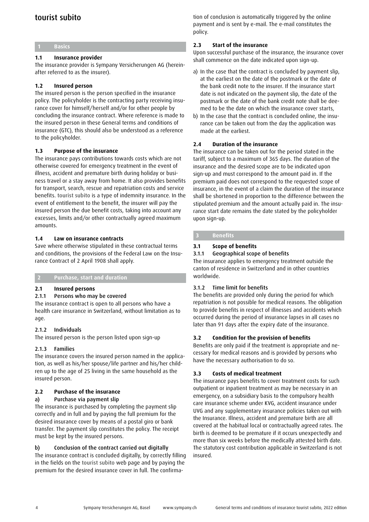# tourist subito

#### **1 Basics**

# **1.1 Insurance provider**

The insurance provider is Sympany Versicherungen AG (hereinafter referred to as the insurer).

#### **1.2 Insured person**

The insured person is the person specified in the insurance policy. The policyholder is the contracting party receiving insurance cover for himself/herself and/or for other people by concluding the insurance contract. Where reference is made to the insured person in these General terms and conditions of insurance (GTC), this should also be understood as a reference to the policyholder.

#### **1.3 Purpose of the insurance**

The insurance pays contributions towards costs which are not otherwise covered for emergency treatment in the event of illness, accident and premature birth during holiday or business travel or a stay away from home. It also provides benefits for transport, search, rescue and repatriation costs and service benefits. tourist subito is a type of indemnity insurance. In the event of entitlement to the benefit, the insurer will pay the insured person the due benefit costs, taking into account any excesses, limits and/or other contractually agreed maximum amounts.

#### **1.4 Law on insurance contracts**

Save where otherwise stipulated in these contractual terms and conditions, the provisions of the Federal Law on the Insurance Contract of 2 April 1908 shall apply.

#### **2 Purchase, start and duration**

#### **2.1 Insured persons**

#### 2.1.1 Persons who may be covered

The insurance contract is open to all persons who have a health care insurance in Switzerland, without limitation as to age.

#### 2.1.2 Individuals

The insured person is the person listed upon sign-up

# 2.1.3 Families

The insurance covers the insured person named in the application, as well as his/her spouse/life partner and his/her children up to the age of 25 living in the same household as the insured person.

# **2.2 Purchase of the insurance**

a) Purchase via payment slip

The insurance is purchased by completing the payment slip correctly and in full and by paying the full premium for the desired insurance cover by means of a postal giro or bank transfer. The payment slip constitutes the policy. The receipt must be kept by the insured persons.

# b) Conclusion of the contract carried out digitally

The insurance contract is concluded digitally, by correctly filling in the fields on the tourist subito web page and by paying the premium for the desired insurance cover in full. The confirmation of conclusion is automatically triggered by the online payment and is sent by e-mail. The e-mail constitutes the policy.

#### **2.3 Start of the insurance**

Upon successful purchase of the insurance, the insurance cover shall commence on the date indicated upon sign-up.

- a) In the case that the contract is concluded by payment slip, at the earliest on the date of the postmark or the date of the bank credit note to the insurer. If the insurance start date is not indicated on the payment slip, the date of the postmark or the date of the bank credit note shall be deemed to be the date on which the insurance cover starts,
- b) In the case that the contract is concluded online, the insurance can be taken out from the day the application was made at the earliest.

#### **2.4 Duration of the insurance**

The insurance can be taken out for the period stated in the tariff, subject to a maximum of 365 days. The duration of the insurance and the desired scope are to be indicated upon sign-up and must correspond to the amount paid in. If the premium paid does not correspond to the requested scope of insurance, in the event of a claim the duration of the insurance shall be shortened in proportion to the difference between the stipulated premium and the amount actually paid in. The insurance start date remains the date stated by the policyholder upon sign-up.

#### **3 Benefits**

#### **3.1 Scope of benefits**

#### 3.1.1 Geographical scope of benefits

The insurance applies to emergency treatment outside the canton of residence in Switzerland and in other countries worldwide.

#### 3.1.2 Time limit for benefits

The benefits are provided only during the period for which repatriation is not possible for medical reasons. The obligation to provide benefits in respect of illnesses and accidents which occurred during the period of insurance lapses in all cases no later than 91 days after the expiry date of the insurance.

# **3.2 Condition for the provision of benefits**

Benefits are only paid if the treatment is appropriate and necessary for medical reasons and is provided by persons who have the necessary authorisation to do so.

# **3.3 Costs of medical treatment**

The insurance pays benefits to cover treatment costs for such outpatient or inpatient treatment as may be necessary in an emergency, on a subsidiary basis to the compulsory health care insurance scheme under KVG, accident insurance under UVG and any supplementary insurance policies taken out with the Insurance. Illness, accident and premature birth are all covered at the habitual local or contractually agreed rates. The birth is deemed to be premature if it occurs unexpectedly and more than six weeks before the medically attested birth date. The statutory cost contribution applicable in Switzerland is not insured.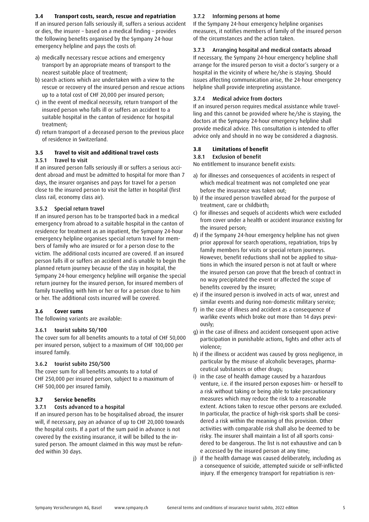#### **3.4 Transport costs, search, rescue and repatriation**

If an insured person falls seriously ill, suffers a serious accident or dies, the insurer – based on a medical finding – provides the following benefits organised by the Sympany 24-hour emergency helpline and pays the costs of:

- a) medically necessary rescue actions and emergency transport by an appropriate means of transport to the nearest suitable place of treatment;
- b) search actions which are undertaken with a view to the rescue or recovery of the insured person and rescue actions up to a total cost of CHF 20,000 per insured person;
- c) in the event of medical necessity, return transport of the insured person who falls ill or suffers an accident to a suitable hospital in the canton of residence for hospital treatment;
- d) return transport of a deceased person to the previous place of residence in Switzerland.

# **3.5 Travel to visit and additional travel costs**

#### 3.5.1 Travel to visit

If an insured person falls seriously ill or suffers a serious accident abroad and must be admitted to hospital for more than 7 days, the insurer organises and pays for travel for a person close to the insured person to visit the latter in hospital (first class rail, economy class air).

# 3.5.2 Special return travel

If an insured person has to be transported back in a medical emergency from abroad to a suitable hospital in the canton of residence for treatment as an inpatient, the Sympany 24-hour emergency helpline organises special return travel for members of family who are insured or for a person close to the victim. The additional costs incurred are covered. If an insured person falls ill or suffers an accident and is unable to begin the planned return journey because of the stay in hospital, the Sympany 24-hour emergency helpline will organise the special return journey for the insured person, for insured members of family travelling with him or her or for a person close to him or her. The additional costs incurred will be covered.

# **3.6 Cover sums**

The following variants are available:

#### 3.6.1 tourist subito 50/100

The cover sum for all benefits amounts to a total of CHF 50,000 per insured person, subject to a maximum of CHF 100,000 per insured family.

#### 3.6.2 tourist subito 250/500

The cover sum for all benefits amounts to a total of CHF 250,000 per insured person, subject to a maximum of CHF 500,000 per insured family.

#### **3.7 Service benefits**

# 3.7.1 Costs advanced to a hospital

If an insured person has to be hospitalised abroad, the insurer will, if necessary, pay an advance of up to CHF 20,000 towards the hospital costs. If a part of the sum paid in advance is not covered by the existing insurance, it will be billed to the insured person. The amount claimed in this way must be refunded within 30 days.

#### 3.7.2 Informing persons at home

If the Sympany 24-hour emergency helpline organises measures, it notifies members of family of the insured person of the circumstances and the action taken.

#### 3.7.3 Arranging hospital and medical contacts abroad

If necessary, the Sympany 24-hour emergency helpline shall arrange for the insured person to visit a doctor's surgery or a hospital in the vicinity of where he/she is staying. Should issues affecting communication arise, the 24-hour emergency helpline shall provide interpreting assistance.

#### 3.7.4 Medical advice from doctors

If an insured person requires medical assistance while travelling and this cannot be provided where he/she is staying, the doctors at the Sympany 24-hour emergency helpline shall provide medical advice. This consultation is intended to offer advice only and should in no way be considered a diagnosis.

#### **3.8 Limitations of benefit**

#### 3.8.1 Exclusion of benefit

No entitlement to insurance benefit exists:

- a) for illnesses and consequences of accidents in respect of which medical treatment was not completed one year before the insurance was taken out;
- b) if the insured person travelled abroad for the purpose of treatment, care or childbirth;
- c) for illnesses and sequels of accidents which were excluded from cover under a health or accident insurance existing for the insured person;
- d) if the Sympany 24-hour emergency helpline has not given prior approval for search operations, repatriation, trips by family members for visits or special return journeys. However, benefit reductions shall not be applied to situations in which the insured person is not at fault or where the insured person can prove that the breach of contract in no way precipitated the event or affected the scope of benefits covered by the insurer;
- e) if the insured person is involved in acts of war, unrest and similar events and during non-domestic military service;
- f) in the case of illness and accident as a consequence of warlike events which broke out more than 14 days previously;
- g) in the case of illness and accident consequent upon active participation in punishable actions, fights and other acts of violence;
- h) if the illness or accident was caused by gross negligence, in particular by the misuse of alcoholic beverages, pharmaceutical substances or other drugs;
- i) in the case of health damage caused by a hazardous venture, i.e. if the insured person exposes him- or herself to a risk without taking or being able to take precautionary measures which may reduce the risk to a reasonable extent. Actions taken to rescue other persons are excluded. In particular, the practice of high-risk sports shall be considered a risk within the meaning of this provision. Other activities with comparable risk shall also be deemed to be risky. The insurer shall maintain a list of all sports considered to be dangerous. The list is not exhaustive and can b e accessed by the insured person at any time;
- j) if the health damage was caused deliberately, including as a consequence of suicide, attempted suicide or self-inflicted injury. If the emergency transport for repatriation is ren-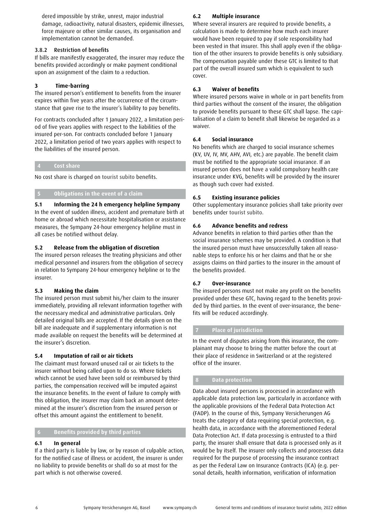dered impossible by strike, unrest, major industrial damage, radioactivity, natural disasters, epidemic illnesses, force majeure or other similar causes, its organisation and implementation cannot be demanded.

# 3.8.2 Restriction of benefits

If bills are manifestly exaggerated, the insurer may reduce the benefits provided accordingly or make payment conditional upon an assignment of the claim to a reduction.

# **3 Time-barring**

The insured person's entitlement to benefits from the insurer expires within five years after the occurrence of the circumstance that gave rise to the insurer's liability to pay benefits.

For contracts concluded after 1 January 2022, a limitation period of five years applies with respect to the liabilities of the insured per-son. For contracts concluded before 1 January 2022, a limitation period of two years applies with respect to the liabilities of the insured person.

# **4 Cost share**

No cost share is charged on tourist subito benefits.

# **5 Obligations in the event of a claim**

**5.1 Informing the 24 h emergency helpline Sympany** In the event of sudden illness, accident and premature birth at home or abroad which necessitate hospitalisation or assistance measures, the Sympany 24-hour emergency helpline must in all cases be notified without delay.

# **5.2 Release from the obligation of discretion**

The insured person releases the treating physicians and other medical personnel and insurers from the obligation of secrecy in relation to Sympany 24-hour emergency helpline or to the insurer.

# **5.3 Making the claim**

The insured person must submit his/her claim to the insurer immediately, providing all relevant information together with the necessary medical and administrative particulars. Only detailed original bills are accepted. If the details given on the bill are inadequate and if supplementary information is not made available on request the benefits will be determined at the insurer's discretion.

# **5.4 Imputation of rail or air tickets**

The claimant must forward unused rail or air tickets to the insurer without being called upon to do so. Where tickets which cannot be used have been sold or reimbursed by third parties, the compensation received will be imputed against the insurance benefits. In the event of failure to comply with this obligation, the insurer may claim back an amount determined at the insurer's discretion from the insured person or offset this amount against the entitlement to benefit.

# **6 Benefits provided by third parties**

# **6.1 In general**

If a third party is liable by law, or by reason of culpable action, for the notified case of illness or accident, the insurer is under no liability to provide benefits or shall do so at most for the part which is not otherwise covered.

# **6.2 Multiple insurance**

Where several insurers are required to provide benefits, a calculation is made to determine how much each insurer would have been required to pay if sole responsibility had been vested in that insurer. This shall apply even if the obligation of the other insurers to provide benefits is only subsidiary. The compensation payable under these GTC is limited to that part of the overall insured sum which is equivalent to such cover.

# **6.3 Waiver of benefits**

Where insured persons waive in whole or in part benefits from third parties without the consent of the insurer, the obligation to provide benefits pursuant to these GTC shall lapse. The capitalisation of a claim to benefit shall likewise be regarded as a waiver.

# **6.4 Social insurance**

No benefits which are charged to social insurance schemes (KV, UV, IV, MV, AHV, AVI, etc.) are payable. The benefit claim must be notified to the appropriate social insurance. If an insured person does not have a valid compulsory health care insurance under KVG, benefits will be provided by the insurer as though such cover had existed.

# **6.5 Existing insurance policies**

Other supplementary insurance policies shall take priority over benefits under tourist subito.

# **6.6 Advance benefits and redress**

Advance benefits in relation to third parties other than the social insurance schemes may be provided. A condition is that the insured person must have unsuccessfully taken all reasonable steps to enforce his or her claims and that he or she assigns claims on third parties to the insurer in the amount of the benefits provided.

# **6.7 Over-insurance**

The insured persons must not make any profit on the benefits provided under these GTC, having regard to the benefits provided by third parties. In the event of over-insurance, the benefits will be reduced accordingly.

# **7 Place of jurisdiction**

In the event of disputes arising from this insurance, the complainant may choose to bring the matter before the court at their place of residence in Switzerland or at the registered office of the insurer.

# **8 Data protection**

Data about insured persons is processed in accordance with applicable data protection law, particularly in accordance with the applicable provisions of the Federal Data Protection Act (FADP). In the course of this, Sympany Versicherungen AG treats the category of data requiring special protection, e.g. health data, in accordance with the aforementioned Federal Data Protection Act. If data processing is entrusted to a third party, the insurer shall ensure that data is processed only as it would be by itself. The insurer only collects and processes data required for the purpose of processing the insurance contract as per the Federal Law on Insurance Contracts (ICA) (e.g. personal details, health information, verification of information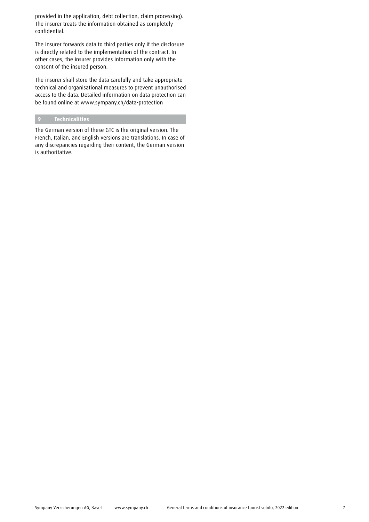provided in the application, debt collection, claim processing). The insurer treats the information obtained as completely confidential.

The insurer forwards data to third parties only if the disclosure is directly related to the implementation of the contract. In other cases, the insurer provides information only with the consent of the insured person.

The insurer shall store the data carefully and take appropriate technical and organisational measures to prevent unauthorised access to the data. Detailed information on data protection can be found online at www.sympany.ch/data-protection

# **9 Technicalities**

The German version of these GTC is the original version. The French, Italian, and English versions are translations. In case of any discrepancies regarding their content, the German version is authoritative.